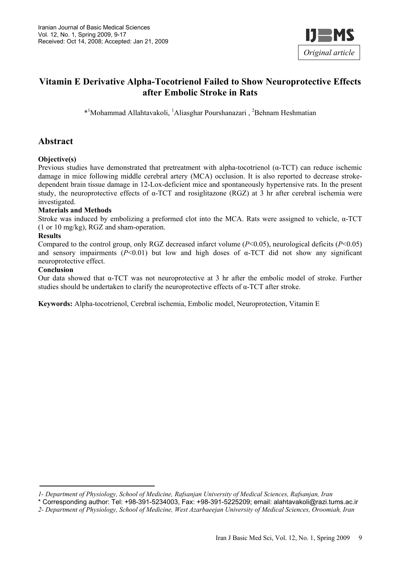

# **Vitamin E Derivative Alpha-Tocotrienol Failed to Show Neuroprotective Effects after Embolic Stroke in Rats**

\*<sup>1</sup>Mohammad Allahtavakoli, <sup>1</sup>Aliasghar Pourshanazari, <sup>2</sup>Behnam Heshmatian

## **Abstract**

### **Objective(s)**

Previous studies have demonstrated that pretreatment with alpha-tocotrienol  $(\alpha$ -TCT) can reduce ischemic damage in mice following middle cerebral artery (MCA) occlusion. It is also reported to decrease strokedependent brain tissue damage in 12-Lox-deficient mice and spontaneously hypertensive rats. In the present study, the neuroprotective effects of α-TCT and rosiglitazone (RGZ) at 3 hr after cerebral ischemia were investigated.

#### **Materials and Methods**

Stroke was induced by embolizing a preformed clot into the MCA. Rats were assigned to vehicle, α-TCT (1 or 10 mg/kg), RGZ and sham-operation.

#### **Results**

Compared to the control group, only RGZ decreased infarct volume  $(P<0.05)$ , neurological deficits  $(P<0.05)$ and sensory impairments  $(P<0.01)$  but low and high doses of  $\alpha$ -TCT did not show any significant neuroprotective effect.

#### **Conclusion**

Our data showed that α-TCT was not neuroprotective at 3 hr after the embolic model of stroke. Further studies should be undertaken to clarify the neuroprotective effects of  $\alpha$ -TCT after stroke.

**Keywords:** Alpha-tocotrienol, Cerebral ischemia, Embolic model, Neuroprotection, Vitamin E

*<sup>1-</sup> Department of Physiology, School of Medicine, Rafsanjan University of Medical Sciences, Rafsanjan, Iran* 

<sup>\*</sup> Corresponding author: Tel: +98-391-5234003, Fax: +98-391-5225209; email: alahtavakoli@razi.tums.ac.ir

*<sup>2-</sup> Department of Physiology, School of Medicine, West Azarbaeejan University of Medical Sciences, Oroomiah, Iran*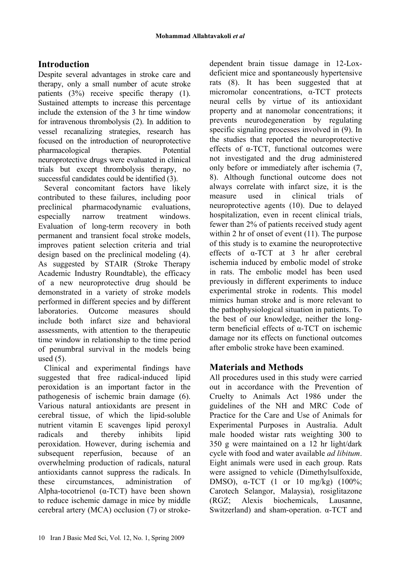# **Introduction**

Despite several advantages in stroke care and therapy, only a small number of acute stroke patients (3%) receive specific therapy (1). Sustained attempts to increase this percentage include the extension of the 3 hr time window for intravenous thrombolysis (2). In addition to vessel recanalizing strategies, research has focused on the introduction of neuroprotective pharmacological therapies. Potential neuroprotective drugs were evaluated in clinical trials but except thrombolysis therapy, no successful candidates could be identified (3).

Several concomitant factors have likely contributed to these failures, including poor preclinical pharmacodynamic evaluations, especially narrow treatment windows. Evaluation of long-term recovery in both permanent and transient focal stroke models, improves patient selection criteria and trial design based on the preclinical modeling (4). As suggested by STAIR (Stroke Therapy Academic Industry Roundtable), the efficacy of a new neuroprotective drug should be demonstrated in a variety of stroke models performed in different species and by different laboratories. Outcome measures should include both infarct size and behavioral assessments, with attention to the therapeutic time window in relationship to the time period of penumbral survival in the models being used  $(5)$ .

Clinical and experimental findings have suggested that free radical-induced lipid peroxidation is an important factor in the pathogenesis of ischemic brain damage (6). Various natural antioxidants are present in cerebral tissue, of which the lipid-soluble nutrient vitamin E scavenges lipid peroxyl radicals and thereby inhibits lipid peroxidation. However, during ischemia and subsequent reperfusion, because of an overwhelming production of radicals, natural antioxidants cannot suppress the radicals. In these circumstances, administration of Alpha-tocotrienol  $(\alpha$ -TCT) have been shown to reduce ischemic damage in mice by middle cerebral artery (MCA) occlusion (7) or strokedependent brain tissue damage in 12-Loxdeficient mice and spontaneously hypertensive rats (8). It has been suggested that at micromolar concentrations, α-TCT protects neural cells by virtue of its antioxidant property and at nanomolar concentrations; it prevents neurodegeneration by regulating specific signaling processes involved in (9). In the studies that reported the neuroprotective effects of α-TCT, functional outcomes were not investigated and the drug administered only before or immediately after ischemia (7, 8). Although functional outcome does not always correlate with infarct size, it is the measure used in clinical trials of neuroprotective agents (10). Due to delayed hospitalization, even in recent clinical trials, fewer than 2% of patients received study agent within 2 hr of onset of event (11). The purpose of this study is to examine the neuroprotective effects of α-TCT at 3 hr after cerebral ischemia induced by embolic model of stroke in rats. The embolic model has been used previously in different experiments to induce experimental stroke in rodents. This model mimics human stroke and is more relevant to the pathophysiological situation in patients. To the best of our knowledge, neither the longterm beneficial effects of α-TCT on ischemic damage nor its effects on functional outcomes after embolic stroke have been examined.

# **Materials and Methods**

All procedures used in this study were carried out in accordance with the Prevention of Cruelty to Animals Act 1986 under the guidelines of the NH and MRC Code of Practice for the Care and Use of Animals for Experimental Purposes in Australia. Adult male hooded wistar rats weighting 300 to 350 g were maintained on a 12 hr light/dark cycle with food and water available *ad libitum*. Eight animals were used in each group. Rats were assigned to vehicle (Dimethylsulfoxide, DMSO),  $α-TCT$  (1 or 10 mg/kg) (100%; Carotech Selangor, Malaysia), rosiglitazone (RGZ; Alexis biochemicals, Lausanne, Switzerland) and sham-operation. α-TCT and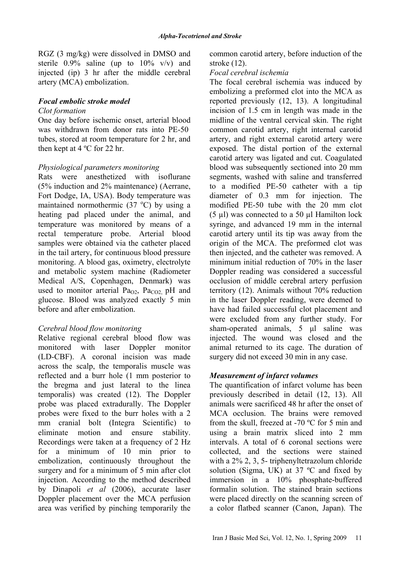RGZ (3 mg/kg) were dissolved in DMSO and sterile  $0.9\%$  saline (up to  $10\%$  v/v) and injected (ip) 3 hr after the middle cerebral artery (MCA) embolization.

### *Focal embolic stroke model*

#### *Clot formation*

One day before ischemic onset, arterial blood was withdrawn from donor rats into PE-50 tubes, stored at room temperature for 2 hr, and then kept at 4 ºC for 22 hr.

### *Physiological parameters monitoring*

Rats were anesthetized with isoflurane (5% induction and 2% maintenance) (Aerrane, Fort Dodge, IA, USA). Body temperature was maintained normothermic  $(37 \text{ °C})$  by using a heating pad placed under the animal, and temperature was monitored by means of a rectal temperature probe. Arterial blood samples were obtained via the catheter placed in the tail artery, for continuous blood pressure monitoring. A blood gas, oximetry, electrolyte and metabolic system machine (Radiometer Medical A/S, Copenhagen, Denmark) was used to monitor arterial Pa<sub>O2</sub>, Pa<sub>CO2</sub> pH and glucose. Blood was analyzed exactly 5 min before and after embolization.

### *Cerebral blood flow monitoring*

Relative regional cerebral blood flow was monitored with laser Doppler monitor (LD-CBF). A coronal incision was made across the scalp, the temporalis muscle was reflected and a burr hole (1 mm posterior to the bregma and just lateral to the linea temporalis) was created (12). The Doppler probe was placed extradurally. The Doppler probes were fixed to the burr holes with a 2 mm cranial bolt (Integra Scientific) to eliminate motion and ensure stability. Recordings were taken at a frequency of 2 Hz for a minimum of 10 min prior to embolization, continuously throughout the surgery and for a minimum of 5 min after clot injection. According to the method described by Dinapoli *et al* (2006), accurate laser Doppler placement over the MCA perfusion area was verified by pinching temporarily the common carotid artery, before induction of the stroke (12).

### *Focal cerebral ischemia*

The focal cerebral ischemia was induced by embolizing a preformed clot into the MCA as reported previously (12, 13). A longitudinal incision of 1.5 cm in length was made in the midline of the ventral cervical skin. The right common carotid artery, right internal carotid artery, and right external carotid artery were exposed. The distal portion of the external carotid artery was ligated and cut. Coagulated blood was subsequently sectioned into 20 mm segments, washed with saline and transferred to a modified PE-50 catheter with a tip diameter of 0.3 mm for injection. The modified PE-50 tube with the 20 mm clot (5 µl) was connected to a 50 µl Hamilton lock syringe, and advanced 19 mm in the internal carotid artery until its tip was away from the origin of the MCA. The preformed clot was then injected, and the catheter was removed. A minimum initial reduction of 70% in the laser Doppler reading was considered a successful occlusion of middle cerebral artery perfusion territory (12). Animals without 70% reduction in the laser Doppler reading, were deemed to have had failed successful clot placement and were excluded from any further study. For sham-operated animals, 5 µl saline was injected. The wound was closed and the animal returned to its cage. The duration of surgery did not exceed 30 min in any case.

## *Measurement of infarct volumes*

The quantification of infarct volume has been previously described in detail (12, 13). All animals were sacrificed 48 hr after the onset of MCA occlusion. The brains were removed from the skull, freezed at -70 ºC for 5 min and using a brain matrix sliced into 2 mm intervals. A total of 6 coronal sections were collected, and the sections were stained with a 2% 2, 3, 5- triphenyltetrazolum chloride solution (Sigma, UK) at 37 ºC and fixed by immersion in a 10% phosphate-buffered formalin solution. The stained brain sections were placed directly on the scanning screen of a color flatbed scanner (Canon, Japan). The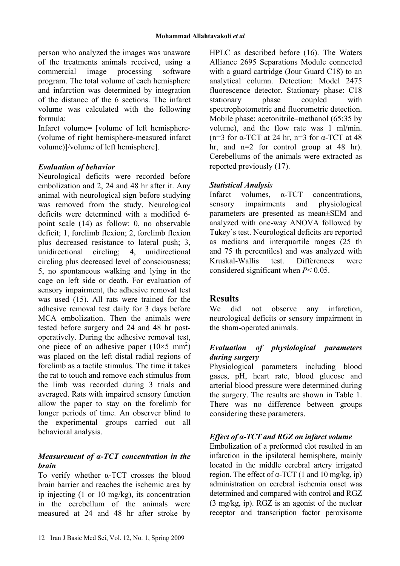person who analyzed the images was unaware of the treatments animals received, using a commercial image processing software program. The total volume of each hemisphere and infarction was determined by integration of the distance of the 6 sections. The infarct volume was calculated with the following formula:

Infarct volume= [volume of left hemisphere- (volume of right hemisphere-measured infarct volume)]/volume of left hemisphere].

## *Evaluation of behavior*

Neurological deficits were recorded before embolization and 2, 24 and 48 hr after it. Any animal with neurological sign before studying was removed from the study. Neurological deficits were determined with a modified 6 point scale (14) as follow: 0, no observable deficit; 1, forelimb flexion; 2, forelimb flexion plus decreased resistance to lateral push; 3, unidirectional circling; 4, unidirectional circling plus decreased level of consciousness; 5, no spontaneous walking and lying in the cage on left side or death. For evaluation of sensory impairment, the adhesive removal test was used (15). All rats were trained for the adhesive removal test daily for 3 days before MCA embolization. Then the animals were tested before surgery and 24 and 48 hr postoperatively. During the adhesive removal test, one piece of an adhesive paper  $(10 \times 5 \text{ mm}^2)$ was placed on the left distal radial regions of forelimb as a tactile stimulus. The time it takes the rat to touch and remove each stimulus from the limb was recorded during 3 trials and averaged. Rats with impaired sensory function allow the paper to stay on the forelimb for longer periods of time. An observer blind to the experimental groups carried out all behavioral analysis.

## *Measurement of α-TCT concentration in the brain*

To verify whether α-TCT crosses the blood brain barrier and reaches the ischemic area by ip injecting (1 or 10 mg/kg), its concentration in the cerebellum of the animals were measured at 24 and 48 hr after stroke by HPLC as described before (16). The Waters Alliance 2695 Separations Module connected with a guard cartridge (Jour Guard C18) to an analytical column. Detection: Model 2475 fluorescence detector. Stationary phase: C18 stationary phase coupled with spectrophotometric and fluorometric detection. Mobile phase: acetonitrile–methanol (65:35 by volume), and the flow rate was 1 ml/min. (n=3 for  $\alpha$ -TCT at 24 hr, n=3 for  $\alpha$ -TCT at 48 hr, and n=2 for control group at 48 hr). Cerebellums of the animals were extracted as reported previously (17).

## *Statistical Analysis*

Infarct volumes, α-TCT concentrations, sensory impairments and physiological parameters are presented as mean±SEM and analyzed with one-way ANOVA followed by Tukey's test. Neurological deficits are reported as medians and interquartile ranges (25 th and 75 th percentiles) and was analyzed with Kruskal-Wallis test. Differences were considered significant when *P*< 0.05.

# **Results**

We did not observe any infarction, neurological deficits or sensory impairment in the sham-operated animals.

## *Evaluation of physiological parameters during surgery*

Physiological parameters including blood gases, pH, heart rate, blood glucose and arterial blood pressure were determined during the surgery. The results are shown in Table 1. There was no difference between groups considering these parameters.

## *Effect of α-TCT and RGZ on infarct volume*

Embolization of a preformed clot resulted in an infarction in the ipsilateral hemisphere, mainly located in the middle cerebral artery irrigated region. The effect of  $α$ -TCT (1 and 10 mg/kg, ip) administration on cerebral ischemia onset was determined and compared with control and RGZ (3 mg/kg, ip). RGZ is an agonist of the nuclear receptor and transcription factor peroxisome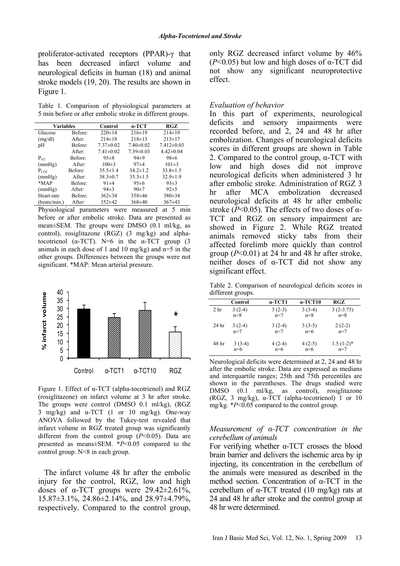proliferator-activated receptors (PPAR)-γ that has been decreased infarct volume and neurological deficits in human (18) and animal stroke models (19, 20). The results are shown in Figure 1.

Table 1. Comparison of physiological parameters at 5 min before or after embolic stroke in different groups.

| <b>Variables</b> |         | Control         | $a-TCT$         | RGZ              |
|------------------|---------|-----------------|-----------------|------------------|
| Glucose          | Before: | $220 \pm 14$    | $216\pm19$      | $214 \pm 19$     |
| (mg/dl)          | After:  | $214 \pm 18$    | $218 \pm 13$    | $215 \pm 17$     |
| pН               | Before: | $7.37 \pm 0.02$ | $7.40 \pm 0.02$ | $7.412 \pm 0.03$ |
|                  | After:  | $7.41 \pm 0.02$ | $7.39 \pm 0.03$ | $4.42 \pm 0.04$  |
| $P_{O2}$         | Before: | $95 \pm 8$      | $94+9$          | $98 \pm 6$       |
| (mmHg)           | After:  | $100 \pm 3$     | $97 + 4$        | $101 \pm 3$      |
| $P_{CO2}$        | Before: | $35.5 \pm 1.4$  | $34.2 \pm 1.2$  | $33.8 \pm 1.5$   |
| (mmHg)           | After:  | $38.3 \pm 0.7$  | $35.3 \pm 1.5$  | $32.9 \pm 1.9$   |
| $*MAP$           | Before: | $91 \pm 4$      | $95 \pm 6$      | $93 \pm 3$       |
| (mmHg)           | After:  | $94\pm3$        | $90+7$          | $92 \pm 5$       |
| Heart rate       | Before: | $362 \pm 34$    | 358±46          | $380 \pm 34$     |
| (beats/min.)     | After:  | $352 + 42$      | $368\pm40$      | $367 + 43$       |

Physiological parameters were measured at 5 min before or after embolic stroke. Data are presented as mean±SEM. The groups were DMSO (0.1 ml/kg, as control), rosiglitazone (RGZ) (3 mg/kg) and alphatocotrienol ( $\alpha$ -TCT). N=6 in the  $\alpha$ -TCT group (3) animals in each dose of 1 and 10 mg/kg) and n=5 in the other groups. Differences between the groups were not significant. \*MAP: Mean arterial pressure.



Figure 1. Effect of  $α$ -TCT (alpha-tocotrienol) and RGZ (rosiglitazone) on infarct volume at 3 hr after stroke. The groups were control (DMSO 0.1 ml/kg), (RGZ 3 mg/kg) and  $\alpha$ -TCT (1 or 10 mg/kg). One-way ANOVA followed by the Tukey-test revealed that infarct volume in RGZ treated group was significantly different from the control group (*P*<0.05). Data are presented as means±SEM. \**P*<0.05 compared to the control group. N=8 in each group.

The infarct volume 48 hr after the embolic injury for the control, RGZ, low and high doses of  $\alpha$ -TCT groups were 29.42 $\pm$ 2.61%, 15.87±3.1%, 24.86±2.14%, and 28.97±4.79%, respectively. Compared to the control group, only RGZ decreased infarct volume by 46% ( $P<0.05$ ) but low and high doses of  $\alpha$ -TCT did not show any significant neuroprotective effect.

#### *Evaluation of behavior*

In this part of experiments, neurological deficits and sensory impairments were recorded before, and 2, 24 and 48 hr after embolization. Changes of neurological deficits scores in different groups are shown in Table 2. Compared to the control group,  $\alpha$ -TCT with low and high doses did not improve neurological deficits when administered 3 hr after embolic stroke. Administration of RGZ 3 hr after MCA embolization decreased neurological deficits at 48 hr after embolic stroke ( $P \le 0.05$ ). The effects of two doses of  $\alpha$ -TCT and RGZ on sensory impairment are showed in Figure 2. While RGZ treated animals removed sticky tabs from their affected forelimb more quickly than control group (*P*<0.01) at 24 hr and 48 hr after stroke, neither doses of α-TCT did not show any significant effect.

Table 2. Comparison of neurological deficits scores in different groups.

|                  | Control  | $\alpha$ -TCT1 | $\alpha$ -TCT10 | RGZ         |
|------------------|----------|----------------|-----------------|-------------|
| 2 <sub>hr</sub>  | $3(2-4)$ | $3(2-3)$       | $3(3-4)$        | $3(2-3.75)$ |
|                  | $n=8$    | $n=7$          | $n=8$           | $n=8$       |
| 24 <sub>hr</sub> | $3(2-4)$ | $3(2-4)$       | $3(3-5)$        | $2(2-2)$    |
|                  | $n=7$    | $n=7$          | $n=6$           | $n=7$       |
| 48 hr            | $3(3-4)$ | $4(2-4)$       | $4(2-5)$        | $1.5(1-2)*$ |
|                  | $n=6$    | $n=6$          | $n=6$           | $n=7$       |

Neurological deficits were determined at 2, 24 and 48 hr after the embolic stroke. Data are expressed as medians and interquartile ranges; 25th and 75th percentiles are shown in the parentheses. The drugs studied were DMSO (0.1 ml/kg, as control), rosiglitazone (RGZ, 3 mg/kg),  $\alpha$ -TCT (alpha-tocotrienol) 1 or 10 mg/kg. \**P*<0.05 compared to the control group.

#### *Measurement of α-TCT concentration in the cerebellum of animals*

For verifying whether α-TCT crosses the blood brain barrier and delivers the ischemic area by ip injecting, its concentration in the cerebellum of the animals were measured as described in the method section. Concentration of α-TCT in the cerebellum of α-TCT treated (10 mg/kg) rats at 24 and 48 hr after stroke and the control group at 48 hr were determined.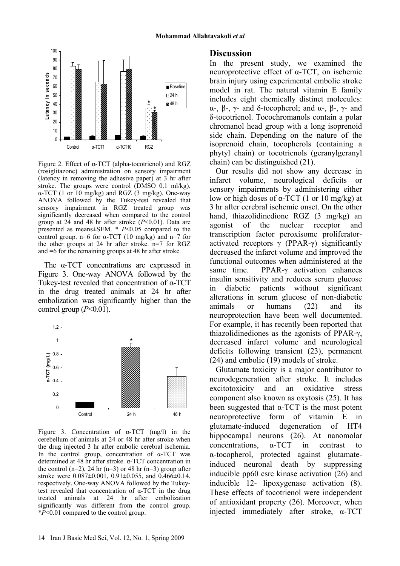

Figure 2. Effect of  $\alpha$ -TCT (alpha-tocotrienol) and RGZ (rosiglitazone) administration on sensory impairment (latency in removing the adhesive paper) at 3 hr after stroke. The groups were control (DMSO 0.1 ml/kg),  $\alpha$ -TCT (1 or 10 mg/kg) and RGZ (3 mg/kg). One-way ANOVA followed by the Tukey-test revealed that sensory impairment in RGZ treated group was significantly decreased when compared to the control group at 24 and 48 hr after stroke (*P*<0.01). Data are presented as means±SEM. \* *P*<0.05 compared to the control group. n=6 for  $\alpha$ -TCT (10 mg/kg) and n=7 for the other groups at 24 hr after stroke. n=7 for RGZ and =6 for the remaining groups at 48 hr after stroke.

The α-TCT concentrations are expressed in Figure 3. One-way ANOVA followed by the Tukey-test revealed that concentration of α-TCT in the drug treated animals at 24 hr after embolization was significantly higher than the control group  $(P<0.01)$ .



Figure 3. Concentration of  $\alpha$ -TCT (mg/l) in the cerebellum of animals at 24 or 48 hr after stroke when the drug injected 3 hr after embolic cerebral ischemia. In the control group, concentration of  $\alpha$ -TCT was determined at 48 hr after stroke. α-TCT concentration in the control (n=2), 24 hr (n=3) or 48 hr (n=3) group after stroke were 0.087±0.001, 0.91±0.055, and 0.466±0.14, respectively. One-way ANOVA followed by the Tukeytest revealed that concentration of α-TCT in the drug treated animals at 24 hr after embolization significantly was different from the control group. \**P*<0.01 compared to the control group.

#### **Discussion**

In the present study, we examined the neuroprotective effect of α-TCT, on ischemic brain injury using experimental embolic stroke model in rat. The natural vitamin E family includes eight chemically distinct molecules: α-, β-, γ- and δ-tocopherol; and α-, β-, γ- and δ-tocotrienol. Tocochromanols contain a polar chromanol head group with a long isoprenoid side chain. Depending on the nature of the isoprenoid chain, tocopherols (containing a phytyl chain) or tocotrienols (geranylgeranyl chain) can be distinguished (21).

Our results did not show any decrease in infarct volume, neurological deficits or sensory impairments by administering either low or high doses of  $α$ -TCT (1 or 10 mg/kg) at 3 hr after cerebral ischemic onset. On the other hand, thiazolidinedione RGZ (3 mg/kg) an agonist of the nuclear receptor and transcription factor peroxisome proliferatoractivated receptors  $\gamma$  (PPAR- $\gamma$ ) significantly decreased the infarct volume and improved the functional outcomes when administered at the same time. PPAR-γ activation enhances insulin sensitivity and reduces serum glucose in diabetic patients without significant alterations in serum glucose of non-diabetic animals or humans (22) and its neuroprotection have been well documented. For example, it has recently been reported that thiazolidinediones as the agonists of PPAR-γ, decreased infarct volume and neurological deficits following transient (23), permanent (24) and embolic (19) models of stroke.

Glutamate toxicity is a major contributor to neurodegeneration after stroke. It includes excitotoxicity and an oxidative stress component also known as oxytosis (25). It has been suggested that  $\alpha$ -TCT is the most potent neuroprotective form of vitamin E in glutamate-induced degeneration of HT4 hippocampal neurons (26). At nanomolar concentrations, α-TCT in contrast to α-tocopherol, protected against glutamateinduced neuronal death by suppressing inducible pp60 csrc kinase activation (26) and inducible 12- lipoxygenase activation (8). These effects of tocotrienol were independent of antioxidant property (26). Moreover, when injected immediately after stroke, α-TCT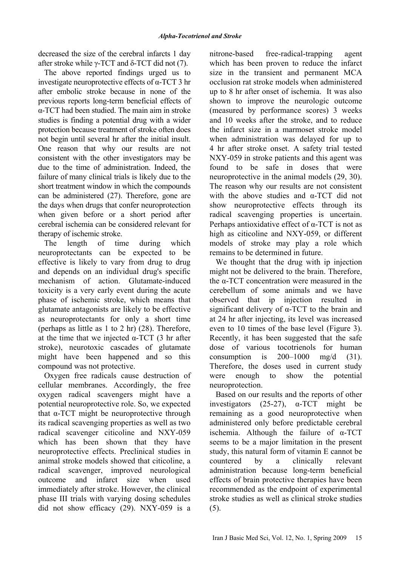decreased the size of the cerebral infarcts 1 day after stroke while γ-TCT and  $δ$ -TCT did not (7).

The above reported findings urged us to investigate neuroprotective effects of α-TCT 3 hr after embolic stroke because in none of the previous reports long-term beneficial effects of α-TCT had been studied. The main aim in stroke studies is finding a potential drug with a wider protection because treatment of stroke often does not begin until several hr after the initial insult. One reason that why our results are not consistent with the other investigators may be due to the time of administration. Indeed, the failure of many clinical trials is likely due to the short treatment window in which the compounds can be administered (27). Therefore, gone are the days when drugs that confer neuroprotection when given before or a short period after cerebral ischemia can be considered relevant for therapy of ischemic stroke.

The length of time during which neuroprotectants can be expected to be effective is likely to vary from drug to drug and depends on an individual drug's specific mechanism of action. Glutamate-induced toxicity is a very early event during the acute phase of ischemic stroke, which means that glutamate antagonists are likely to be effective as neuroprotectants for only a short time (perhaps as little as 1 to 2 hr) (28). Therefore, at the time that we injected  $\alpha$ -TCT (3 hr after stroke), neurotoxic cascades of glutamate might have been happened and so this compound was not protective.

Oxygen free radicals cause destruction of cellular membranes. Accordingly, the free oxygen radical scavengers might have a potential neuroprotective role. So, we expected that  $α$ -TCT might be neuroprotective through its radical scavenging properties as well as two radical scavenger citicoline and NXY-059 which has been shown that they have neuroprotective effects. Preclinical studies in animal stroke models showed that citicoline, a radical scavenger, improved neurological outcome and infarct size when used immediately after stroke. However, the clinical phase III trials with varying dosing schedules did not show efficacy (29). NXY-059 is a

nitrone-based free-radical-trapping agent which has been proven to reduce the infarct size in the transient and permanent MCA occlusion rat stroke models when administered up to 8 hr after onset of ischemia. It was also shown to improve the neurologic outcome (measured by performance scores) 3 weeks and 10 weeks after the stroke, and to reduce the infarct size in a marmoset stroke model when administration was delayed for up to 4 hr after stroke onset. A safety trial tested NXY-059 in stroke patients and this agent was found to be safe in doses that were neuroprotective in the animal models (29, 30). The reason why our results are not consistent with the above studies and  $\alpha$ -TCT did not show neuroprotective effects through its radical scavenging properties is uncertain. Perhaps antioxidative effect of  $\alpha$ -TCT is not as high as citicoline and NXY-059, or different models of stroke may play a role which remains to be determined in future.

We thought that the drug with ip injection might not be delivered to the brain. Therefore, the  $α$ -TCT concentration were measured in the cerebellum of some animals and we have observed that ip injection resulted in significant delivery of α-TCT to the brain and at 24 hr after injecting, its level was increased even to 10 times of the base level (Figure 3). Recently, it has been suggested that the safe dose of various tocotrienols for human consumption is  $200-1000$  mg/d  $(31)$ . Therefore, the doses used in current study were enough to show the potential neuroprotection.

Based on our results and the reports of other investigators (25-27), α-TCT might be remaining as a good neuroprotective when administered only before predictable cerebral ischemia. Although the failure of  $\alpha$ -TCT seems to be a major limitation in the present study, this natural form of vitamin E cannot be countered by a clinically relevant administration because long-term beneficial effects of brain protective therapies have been recommended as the endpoint of experimental stroke studies as well as clinical stroke studies (5).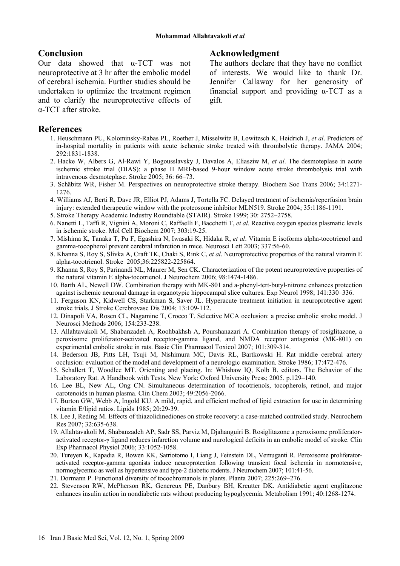# **Conclusion**

Our data showed that α-TCT was not neuroprotective at 3 hr after the embolic model of cerebral ischemia. Further studies should be undertaken to optimize the treatment regimen and to clarify the neuroprotective effects of α-TCT after stroke.

# **Acknowledgment**

The authors declare that they have no conflict of interests. We would like to thank Dr. Jennifer Callaway for her generosity of financial support and providing  $\alpha$ -TCT as a gift.

# **References**

- 1. Heuschmann PU, Kolominsky-Rabas PL, Roether J, Misselwitz B, Lowitzsch K, Heidrich J, *et al*. Predictors of in-hospital mortality in patients with acute ischemic stroke treated with thrombolytic therapy. JAMA 2004; 292:1831-1838.
- 2. Hacke W, Albers G, Al-Rawi Y, Bogousslavsky J, Davalos A, Eliasziw M, *et al*. The desmoteplase in acute ischemic stroke trial (DIAS): a phase II MRI-based 9-hour window acute stroke thrombolysis trial with intravenous desmoteplase. Stroke 2005; 36: 66–73.
- 3. Schäbitz WR, Fisher M. Perspectives on neuroprotective stroke therapy. Biochem Soc Trans 2006; 34:1271- 1276.
- 4. Williams AJ, Berti R, Dave JR, Elliot PJ, Adams J, Tortella FC. Delayed treatment of ischemia/reperfusion brain injury: extended therapeutic window with the proteosome inhibitor MLN519. Stroke 2004; 35:1186-1191.
- 5. Stroke Therapy Academic Industry Roundtable (STAIR). Stroke 1999; 30: 2752–2758.
- 6. Nanetti L, Taffi R, Vignini A, Moroni C, Raffaelli F, Bacchetti T, *et al*. Reactive oxygen species plasmatic levels in ischemic stroke. Mol Cell Biochem 2007; 303:19-25.
- 7. Mishima K, Tanaka T, Pu F, Egashira N, Iwasaki K, Hidaka R, *et al*. Vitamin E isoforms alpha-tocotrienol and gamma-tocopherol prevent cerebral infarction in mice. Neurosci Lett 2003; 337:56-60.
- 8. Khanna S, Roy S, Slivka A, Craft TK, Chaki S, Rink C, *et al*. Neuroprotective properties of the natural vitamin E alpha-tocotrienol. Stroke 2005;36:225822-225864.
- 9. Khanna S, Roy S, Parinandi NL, Maurer M, Sen CK. Characterization of the potent neuroprotective properties of the natural vitamin E alpha-tocotrienol. J Neurochem 2006; 98:1474-1486.
- 10. Barth AL, Newell DW. Combination therapy with MK-801 and a-phenyl-tert-butyl-nitrone enhances protection against ischemic neuronal damage in organotypic hippocampal slice cultures. Exp Neurol 1998; 141:330–336.
- 11. Ferguson KN, Kidwell CS, Starkman S, Saver JL. Hyperacute treatment initiation in neuroprotective agent stroke trials. J Stroke Cerebrovasc Dis 2004; 13:109-112.
- 12. Dinapoli VA, Rosen CL, Nagamine T, Crocco T. Selective MCA occlusion: a precise embolic stroke model. J Neurosci Methods 2006; 154:233-238.
- 13. Allahtavakoli M, Shabanzadeh A, Roohbakhsh A, Pourshanazari A. Combination therapy of rosiglitazone, a peroxisome proliferator-activated receptor-gamma ligand, and NMDA receptor antagonist (MK-801) on experimental embolic stroke in rats. Basic Clin Pharmacol Toxicol 2007; 101:309-314.
- 14. Bederson JB, Pitts LH, Tsuji M, Nishimura MC, Davis RL, Bartkowski H. Rat middle cerebral artery occlusion: evaluation of the model and development of a neurologic examination. Stroke 1986; 17:472-476.
- 15. Schallert T, Woodlee MT. Orienting and placing. In: Whishaw IQ, Kolb B. editors. The Behavior of the Laboratory Rat. A Handbook with Tests. New York: Oxford University Press; 2005. p.129–140.
- 16. Lee BL, New AL, Ong CN. Simultaneous determination of tocotrienols, tocopherols, retinol, and major carotenoids in human plasma. Clin Chem 2003; 49:2056-2066.
- 17. Burton GW, Webb A, Ingold KU. A mild, rapid, and efficient method of lipid extraction for use in determining vitamin E/lipid ratios. Lipids 1985; 20:29-39.
- 18. Lee J, Reding M. Effects of thiazolidinediones on stroke recovery: a case-matched controlled study. Neurochem Res 2007; 32:635-638.
- 19. Allahtavakoli M, Shabanzadeh AP, Sadr SS, Parviz M, Djahanguiri B. Rosiglitazone a peroxisome proliferatoractivated receptor-γ ligand reduces infarction volume and nurological deficits in an embolic model of stroke. Clin Exp Pharmacol Physiol 2006; 33:1052-1058.
- 20. Tureyen K, Kapadia R, Bowen KK, Satriotomo I, Liang J, Feinstein DL, Vemuganti R. Peroxisome proliferatoractivated receptor-gamma agonists induce neuroprotection following transient focal ischemia in normotensive, normoglycemic as well as hypertensive and type-2 diabetic rodents. J Neurochem 2007; 101:41-56.
- 21. Dormann P. Functional diversity of tocochromanols in plants. Planta 2007; 225:269–276.
- 22. Stevenson RW, McPherson RK, Genereux PE, Danbury BH, Kreutter DK. Antidiabetic agent englitazone enhances insulin action in nondiabetic rats without producing hypoglycemia. Metabolism 1991; 40:1268-1274.